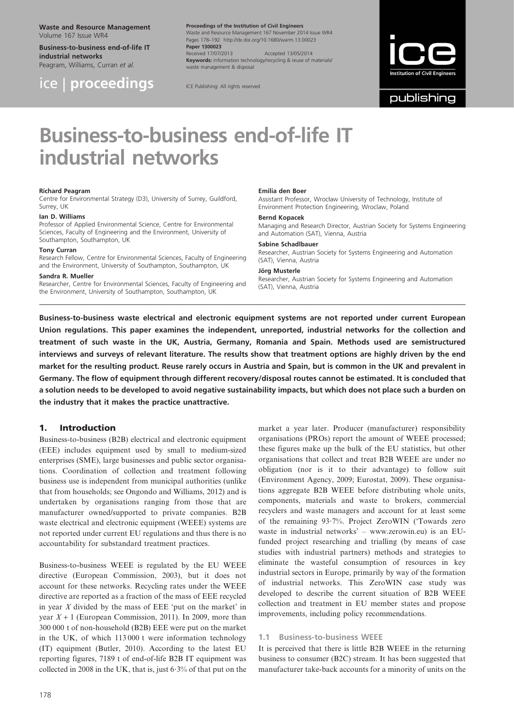Waste and Resource Management Volume 167 Issue WR4

Business-to-business end-of-life IT industrial networks Peagram, Williams, Curran et al.

ice | proceedings ICE Publishing: All rights reserved

Proceedings of the Institution of Civil Engineers Waste and Resource Management 167 November 2014 Issue WR4 Pages 178–192 http://dx.doi.org/10.1680/warm.13.00023 Paper 1300023<br>Received 17/07/2013 Received 17/07/2013 Accepted 13/05/2014 Keywords: information technology/recycling & reuse of materials/ waste management & disposal



publishing

# Business-to-business end-of-life IT industrial networks

#### Richard Peagram

Centre for Environmental Strategy (D3), University of Surrey, Guildford, Surrey, UK

#### Ian D. Williams

Professor of Applied Environmental Science, Centre for Environmental Sciences, Faculty of Engineering and the Environment, University of Southampton, Southampton, UK

### Tony Curran

Research Fellow, Centre for Environmental Sciences, Faculty of Engineering and the Environment, University of Southampton, Southampton, UK

#### Sandra R. Mueller

Researcher, Centre for Environmental Sciences, Faculty of Engineering and the Environment, University of Southampton, Southampton, UK

#### Emilia den Boer

Assistant Professor, Wrocław University of Technology, Institute of Environment Protection Engineering, Wroclaw, Poland

#### Bernd Kopacek

Managing and Research Director, Austrian Society for Systems Engineering and Automation (SAT), Vienna, Austria

#### Sabine Schadlbauer

Researcher, Austrian Society for Systems Engineering and Automation (SAT), Vienna, Austria

#### Jörg Musterle

Researcher, Austrian Society for Systems Engineering and Automation (SAT), Vienna, Austria

Business-to-business waste electrical and electronic equipment systems are not reported under current European Union regulations. This paper examines the independent, unreported, industrial networks for the collection and treatment of such waste in the UK, Austria, Germany, Romania and Spain. Methods used are semistructured interviews and surveys of relevant literature. The results show that treatment options are highly driven by the end market for the resulting product. Reuse rarely occurs in Austria and Spain, but is common in the UK and prevalent in Germany. The flow of equipment through different recovery/disposal routes cannot be estimated. It is concluded that a solution needs to be developed to avoid negative sustainability impacts, but which does not place such a burden on the industry that it makes the practice unattractive.

## 1. Introduction

Business-to-business (B2B) electrical and electronic equipment (EEE) includes equipment used by small to medium-sized enterprises (SME), large businesses and public sector organisations. Coordination of collection and treatment following business use is independent from municipal authorities (unlike that from households; see [Ongondo and Williams, 2012](#page-14-0)) and is undertaken by organisations ranging from those that are manufacturer owned/supported to private companies. B2B waste electrical and electronic equipment (WEEE) systems are not reported under current EU regulations and thus there is no accountability for substandard treatment practices.

Business-to-business WEEE is regulated by the EU WEEE directive [\(European Commission, 2003\)](#page-14-0), but it does not account for these networks. Recycling rates under the WEEE directive are reported as a fraction of the mass of EEE recycled in year  $X$  divided by the mass of EEE 'put on the market' in year  $X + 1$  ([European Commission, 2011](#page-14-0)). In 2009, more than 300 000 t of non-household (B2B) EEE were put on the market in the UK, of which 113 000 t were information technology (IT) equipment ([Butler, 2010\)](#page-13-0). According to the latest EU reporting figures, 7189 t of end-of-life B2B IT equipment was collected in 2008 in the UK, that is, just  $6.3\%$  of that put on the

market a year later. Producer (manufacturer) responsibility organisations (PROs) report the amount of WEEE processed; these figures make up the bulk of the EU statistics, but other organisations that collect and treat B2B WEEE are under no obligation (nor is it to their advantage) to follow suit [\(Environment Agency, 2009;](#page-13-0) [Eurostat, 2009](#page-14-0)). These organisations aggregate B2B WEEE before distributing whole units, components, materials and waste to brokers, commercial recyclers and waste managers and account for at least some of the remaining 93?7%. Project ZeroWIN ('Towards zero waste in industrial networks' – [www.zerowin.eu\)](www.zerowin.eu) is an EUfunded project researching and trialling (by means of case studies with industrial partners) methods and strategies to eliminate the wasteful consumption of resources in key industrial sectors in Europe, primarily by way of the formation of industrial networks. This ZeroWIN case study was developed to describe the current situation of B2B WEEE collection and treatment in EU member states and propose improvements, including policy recommendations.

## 1.1 Business-to-business WEEE

It is perceived that there is little B2B WEEE in the returning business to consumer (B2C) stream. It has been suggested that manufacturer take-back accounts for a minority of units on the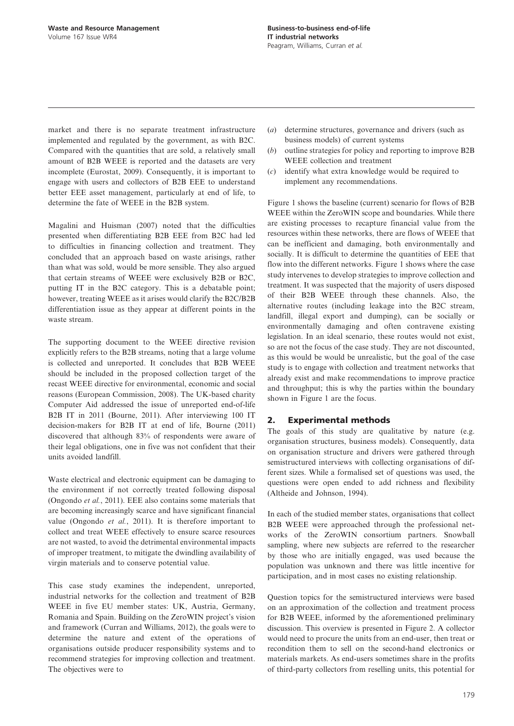market and there is no separate treatment infrastructure implemented and regulated by the government, as with B2C. Compared with the quantities that are sold, a relatively small amount of B2B WEEE is reported and the datasets are very incomplete [\(Eurostat, 2009\)](#page-14-0). Consequently, it is important to engage with users and collectors of B2B EEE to understand better EEE asset management, particularly at end of life, to determine the fate of WEEE in the B2B system.

[Magalini and Huisman \(2007\)](#page-14-0) noted that the difficulties presented when differentiating B2B EEE from B2C had led to difficulties in financing collection and treatment. They concluded that an approach based on waste arisings, rather than what was sold, would be more sensible. They also argued that certain streams of WEEE were exclusively B2B or B2C, putting IT in the B2C category. This is a debatable point; however, treating WEEE as it arises would clarify the B2C/B2B differentiation issue as they appear at different points in the waste stream.

The supporting document to the WEEE directive revision explicitly refers to the B2B streams, noting that a large volume is collected and unreported. It concludes that B2B WEEE should be included in the proposed collection target of the recast WEEE directive for environmental, economic and social reasons [\(European Commission, 2008](#page-14-0)). The UK-based charity Computer Aid addressed the issue of unreported end-of-life B2B IT in 2011 ([Bourne, 2011\)](#page-13-0). After interviewing 100 IT decision-makers for B2B IT at end of life, [Bourne \(2011\)](#page-13-0) discovered that although 83% of respondents were aware of their legal obligations, one in five was not confident that their units avoided landfill.

Waste electrical and electronic equipment can be damaging to the environment if not correctly treated following disposal ([Ongondo](#page-14-0) et al., 2011). EEE also contains some materials that are becoming increasingly scarce and have significant financial value [\(Ongondo](#page-14-0) et al., 2011). It is therefore important to collect and treat WEEE effectively to ensure scarce resources are not wasted, to avoid the detrimental environmental impacts of improper treatment, to mitigate the dwindling availability of virgin materials and to conserve potential value.

This case study examines the independent, unreported, industrial networks for the collection and treatment of B2B WEEE in five EU member states: UK, Austria, Germany, Romania and Spain. Building on the ZeroWIN project's vision and framework ([Curran and Williams, 2012\)](#page-13-0), the goals were to determine the nature and extent of the operations of organisations outside producer responsibility systems and to recommend strategies for improving collection and treatment. The objectives were to

- (a) determine structures, governance and drivers (such as business models) of current systems
- (b) outline strategies for policy and reporting to improve B2B WEEE collection and treatment
- (c) identify what extra knowledge would be required to implement any recommendations.

[Figure 1](#page-2-0) shows the baseline (current) scenario for flows of B2B WEEE within the ZeroWIN scope and boundaries. While there are existing processes to recapture financial value from the resources within these networks, there are flows of WEEE that can be inefficient and damaging, both environmentally and socially. It is difficult to determine the quantities of EEE that flow into the different networks. [Figure 1](#page-2-0) shows where the case study intervenes to develop strategies to improve collection and treatment. It was suspected that the majority of users disposed of their B2B WEEE through these channels. Also, the alternative routes (including leakage into the B2C stream, landfill, illegal export and dumping), can be socially or environmentally damaging and often contravene existing legislation. In an ideal scenario, these routes would not exist, so are not the focus of the case study. They are not discounted, as this would be would be unrealistic, but the goal of the case study is to engage with collection and treatment networks that already exist and make recommendations to improve practice and throughput; this is why the parties within the boundary shown in [Figure 1](#page-2-0) are the focus.

# 2. Experimental methods

The goals of this study are qualitative by nature (e.g. organisation structures, business models). Consequently, data on organisation structure and drivers were gathered through semistructured interviews with collecting organisations of different sizes. While a formalised set of questions was used, the questions were open ended to add richness and flexibility ([Altheide and Johnson, 1994](#page-13-0)).

In each of the studied member states, organisations that collect B2B WEEE were approached through the professional networks of the ZeroWIN consortium partners. Snowball sampling, where new subjects are referred to the researcher by those who are initially engaged, was used because the population was unknown and there was little incentive for participation, and in most cases no existing relationship.

Question topics for the semistructured interviews were based on an approximation of the collection and treatment process for B2B WEEE, informed by the aforementioned preliminary discussion. This overview is presented in [Figure 2.](#page-3-0) A collector would need to procure the units from an end-user, then treat or recondition them to sell on the second-hand electronics or materials markets. As end-users sometimes share in the profits of third-party collectors from reselling units, this potential for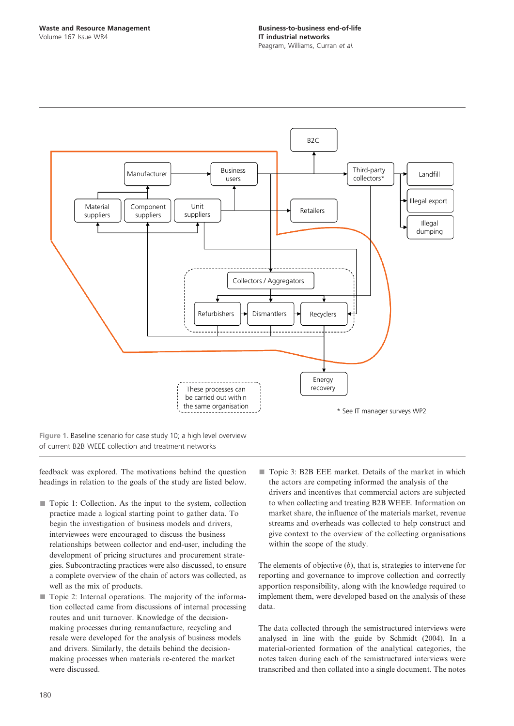<span id="page-2-0"></span>

Figure 1. Baseline scenario for case study 10; a high level overview of current B2B WEEE collection and treatment networks

feedback was explored. The motivations behind the question headings in relation to the goals of the study are listed below.

- $\blacksquare$  Topic 1: Collection. As the input to the system, collection practice made a logical starting point to gather data. To begin the investigation of business models and drivers, interviewees were encouraged to discuss the business relationships between collector and end-user, including the development of pricing structures and procurement strategies. Subcontracting practices were also discussed, to ensure a complete overview of the chain of actors was collected, as well as the mix of products.
- Topic 2: Internal operations. The majority of the information collected came from discussions of internal processing routes and unit turnover. Knowledge of the decisionmaking processes during remanufacture, recycling and resale were developed for the analysis of business models and drivers. Similarly, the details behind the decisionmaking processes when materials re-entered the market were discussed.
- Topic 3: B2B EEE market. Details of the market in which the actors are competing informed the analysis of the drivers and incentives that commercial actors are subjected to when collecting and treating B2B WEEE. Information on market share, the influence of the materials market, revenue streams and overheads was collected to help construct and give context to the overview of the collecting organisations within the scope of the study.

The elements of objective  $(b)$ , that is, strategies to intervene for reporting and governance to improve collection and correctly apportion responsibility, along with the knowledge required to implement them, were developed based on the analysis of these data.

The data collected through the semistructured interviews were analysed in line with the guide by [Schmidt \(2004\).](#page-14-0) In a material-oriented formation of the analytical categories, the notes taken during each of the semistructured interviews were transcribed and then collated into a single document. The notes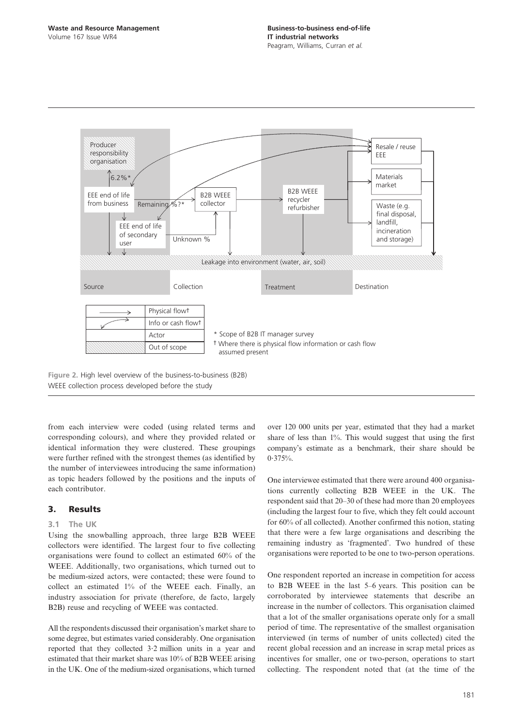<span id="page-3-0"></span>

Figure 2. High level overview of the business-to-business (B2B) WEEE collection process developed before the study

from each interview were coded (using related terms and corresponding colours), and where they provided related or identical information they were clustered. These groupings were further refined with the strongest themes (as identified by the number of interviewees introducing the same information) as topic headers followed by the positions and the inputs of each contributor.

# 3. Results

# 3.1 The UK

Using the snowballing approach, three large B2B WEEE collectors were identified. The largest four to five collecting organisations were found to collect an estimated 60% of the WEEE. Additionally, two organisations, which turned out to be medium-sized actors, were contacted; these were found to collect an estimated 1% of the WEEE each. Finally, an industry association for private (therefore, de facto, largely B2B) reuse and recycling of WEEE was contacted.

All the respondents discussed their organisation's market share to some degree, but estimates varied considerably. One organisation reported that they collected 3?2 million units in a year and estimated that their market share was 10% of B2B WEEE arising in the UK. One of the medium-sized organisations, which turned

over 120 000 units per year, estimated that they had a market share of less than 1%. This would suggest that using the first company's estimate as a benchmark, their share should be  $0.375%$ .

One interviewee estimated that there were around 400 organisations currently collecting B2B WEEE in the UK. The respondent said that 20–30 of these had more than 20 employees (including the largest four to five, which they felt could account for 60% of all collected). Another confirmed this notion, stating that there were a few large organisations and describing the remaining industry as 'fragmented'. Two hundred of these organisations were reported to be one to two-person operations.

One respondent reported an increase in competition for access to B2B WEEE in the last 5–6 years. This position can be corroborated by interviewee statements that describe an increase in the number of collectors. This organisation claimed that a lot of the smaller organisations operate only for a small period of time. The representative of the smallest organisation interviewed (in terms of number of units collected) cited the recent global recession and an increase in scrap metal prices as incentives for smaller, one or two-person, operations to start collecting. The respondent noted that (at the time of the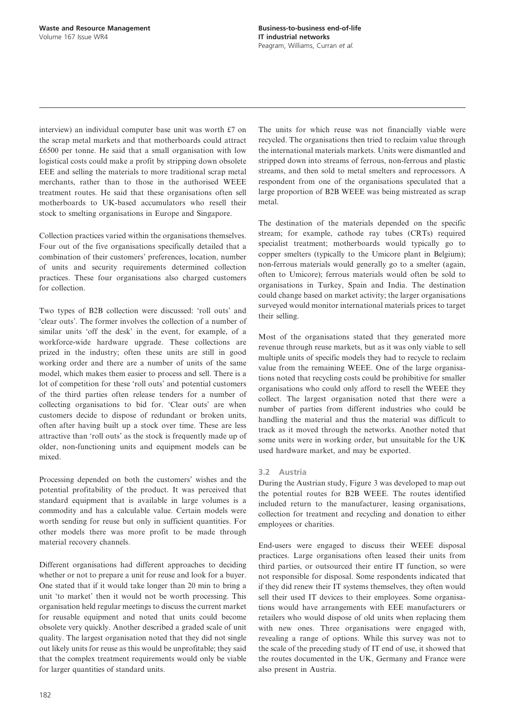interview) an individual computer base unit was worth £7 on the scrap metal markets and that motherboards could attract £6500 per tonne. He said that a small organisation with low logistical costs could make a profit by stripping down obsolete EEE and selling the materials to more traditional scrap metal merchants, rather than to those in the authorised WEEE treatment routes. He said that these organisations often sell motherboards to UK-based accumulators who resell their stock to smelting organisations in Europe and Singapore.

Collection practices varied within the organisations themselves. Four out of the five organisations specifically detailed that a combination of their customers' preferences, location, number of units and security requirements determined collection practices. These four organisations also charged customers for collection.

Two types of B2B collection were discussed: 'roll outs' and 'clear outs'. The former involves the collection of a number of similar units 'off the desk' in the event, for example, of a workforce-wide hardware upgrade. These collections are prized in the industry; often these units are still in good working order and there are a number of units of the same model, which makes them easier to process and sell. There is a lot of competition for these 'roll outs' and potential customers of the third parties often release tenders for a number of collecting organisations to bid for. 'Clear outs' are when customers decide to dispose of redundant or broken units, often after having built up a stock over time. These are less attractive than 'roll outs' as the stock is frequently made up of older, non-functioning units and equipment models can be mixed.

Processing depended on both the customers' wishes and the potential profitability of the product. It was perceived that standard equipment that is available in large volumes is a commodity and has a calculable value. Certain models were worth sending for reuse but only in sufficient quantities. For other models there was more profit to be made through material recovery channels.

Different organisations had different approaches to deciding whether or not to prepare a unit for reuse and look for a buyer. One stated that if it would take longer than 20 min to bring a unit 'to market' then it would not be worth processing. This organisation held regular meetings to discuss the current market for reusable equipment and noted that units could become obsolete very quickly. Another described a graded scale of unit quality. The largest organisation noted that they did not single out likely units for reuse as this would be unprofitable; they said that the complex treatment requirements would only be viable for larger quantities of standard units.

The units for which reuse was not financially viable were recycled. The organisations then tried to reclaim value through the international materials markets. Units were dismantled and stripped down into streams of ferrous, non-ferrous and plastic streams, and then sold to metal smelters and reprocessors. A respondent from one of the organisations speculated that a large proportion of B2B WEEE was being mistreated as scrap metal.

The destination of the materials depended on the specific stream; for example, cathode ray tubes (CRTs) required specialist treatment; motherboards would typically go to copper smelters (typically to the Umicore plant in Belgium); non-ferrous materials would generally go to a smelter (again, often to Umicore); ferrous materials would often be sold to organisations in Turkey, Spain and India. The destination could change based on market activity; the larger organisations surveyed would monitor international materials prices to target their selling.

Most of the organisations stated that they generated more revenue through reuse markets, but as it was only viable to sell multiple units of specific models they had to recycle to reclaim value from the remaining WEEE. One of the large organisations noted that recycling costs could be prohibitive for smaller organisations who could only afford to resell the WEEE they collect. The largest organisation noted that there were a number of parties from different industries who could be handling the material and thus the material was difficult to track as it moved through the networks. Another noted that some units were in working order, but unsuitable for the UK used hardware market, and may be exported.

# 3.2 Austria

During the Austrian study, [Figure 3](#page-5-0) was developed to map out the potential routes for B2B WEEE. The routes identified included return to the manufacturer, leasing organisations, collection for treatment and recycling and donation to either employees or charities.

End-users were engaged to discuss their WEEE disposal practices. Large organisations often leased their units from third parties, or outsourced their entire IT function, so were not responsible for disposal. Some respondents indicated that if they did renew their IT systems themselves, they often would sell their used IT devices to their employees. Some organisations would have arrangements with EEE manufacturers or retailers who would dispose of old units when replacing them with new ones. Three organisations were engaged with, revealing a range of options. While this survey was not to the scale of the preceding study of IT end of use, it showed that the routes documented in the UK, Germany and France were also present in Austria.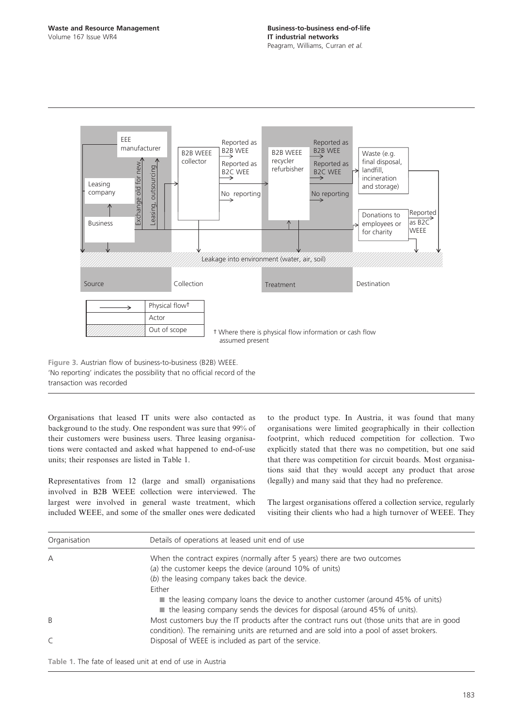<span id="page-5-0"></span>

Figure 3. Austrian flow of business-to-business (B2B) WEEE. 'No reporting' indicates the possibility that no official record of the transaction was recorded

Organisations that leased IT units were also contacted as background to the study. One respondent was sure that 99% of their customers were business users. Three leasing organisations were contacted and asked what happened to end-of-use units; their responses are listed in Table 1.

Representatives from 12 (large and small) organisations involved in B2B WEEE collection were interviewed. The largest were involved in general waste treatment, which included WEEE, and some of the smaller ones were dedicated

to the product type. In Austria, it was found that many organisations were limited geographically in their collection footprint, which reduced competition for collection. Two explicitly stated that there was no competition, but one said that there was competition for circuit boards. Most organisations said that they would accept any product that arose (legally) and many said that they had no preference.

The largest organisations offered a collection service, regularly visiting their clients who had a high turnover of WEEE. They

| Organisation | Details of operations at leased unit end of use                                                                                                                                         |  |
|--------------|-----------------------------------------------------------------------------------------------------------------------------------------------------------------------------------------|--|
| A            | When the contract expires (normally after 5 years) there are two outcomes                                                                                                               |  |
|              | (a) the customer keeps the device (around 10% of units)                                                                                                                                 |  |
|              | (b) the leasing company takes back the device.                                                                                                                                          |  |
|              | Either                                                                                                                                                                                  |  |
|              | the leasing company loans the device to another customer (around 45% of units)<br>the leasing company sends the devices for disposal (around 45% of units).                             |  |
| B            | Most customers buy the IT products after the contract runs out (those units that are in good<br>condition). The remaining units are returned and are sold into a pool of asset brokers. |  |
| $\mathsf{C}$ | Disposal of WEEE is included as part of the service.                                                                                                                                    |  |

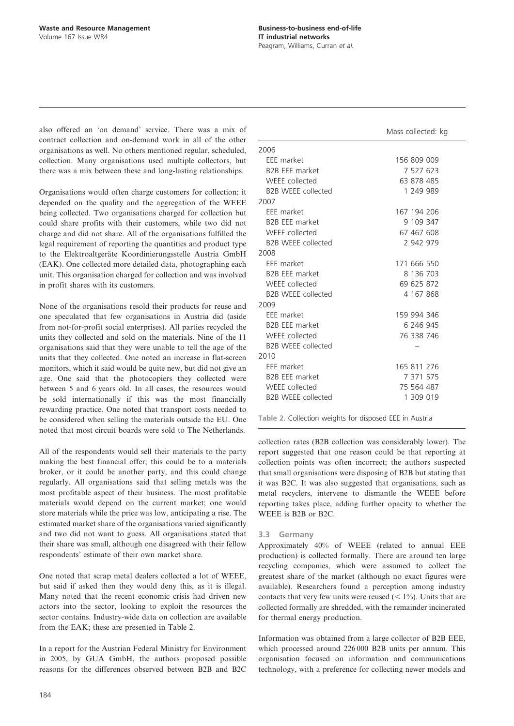also offered an 'on demand' service. There was a mix of contract collection and on-demand work in all of the other organisations as well. No others mentioned regular, scheduled, collection. Many organisations used multiple collectors, but there was a mix between these and long-lasting relationships.

Organisations would often charge customers for collection; it depended on the quality and the aggregation of the WEEE being collected. Two organisations charged for collection but could share profits with their customers, while two did not charge and did not share. All of the organisations fulfilled the legal requirement of reporting the quantities and product type to the Elektroaltgeräte Koordinierungsstelle Austria GmbH (EAK). One collected more detailed data, photographing each unit. This organisation charged for collection and was involved in profit shares with its customers.

None of the organisations resold their products for reuse and one speculated that few organisations in Austria did (aside from not-for-profit social enterprises). All parties recycled the units they collected and sold on the materials. Nine of the 11 organisations said that they were unable to tell the age of the units that they collected. One noted an increase in flat-screen monitors, which it said would be quite new, but did not give an age. One said that the photocopiers they collected were between 5 and 6 years old. In all cases, the resources would be sold internationally if this was the most financially rewarding practice. One noted that transport costs needed to be considered when selling the materials outside the EU. One noted that most circuit boards were sold to The Netherlands.

All of the respondents would sell their materials to the party making the best financial offer; this could be to a materials broker, or it could be another party, and this could change regularly. All organisations said that selling metals was the most profitable aspect of their business. The most profitable materials would depend on the current market; one would store materials while the price was low, anticipating a rise. The estimated market share of the organisations varied significantly and two did not want to guess. All organisations stated that their share was small, although one disagreed with their fellow respondents' estimate of their own market share.

One noted that scrap metal dealers collected a lot of WEEE, but said if asked then they would deny this, as it is illegal. Many noted that the recent economic crisis had driven new actors into the sector, looking to exploit the resources the sector contains. Industry-wide data on collection are available from the EAK; these are presented in Table 2.

In a report for the Austrian Federal Ministry for Environment in 2005, by GUA GmbH, the authors proposed possible reasons for the differences observed between B2B and B2C

|                             | Mass collected: kg |
|-----------------------------|--------------------|
| 2006                        |                    |
| FFF market                  | 156 809 009        |
| <b>B2B FFF market</b>       | 7 527 623          |
| WFFF collected              | 63 878 485         |
| <b>B2B WEEE collected</b>   | 1 249 989          |
| 2007                        |                    |
| FFF market                  | 167 194 206        |
| B <sub>2</sub> B FFF market | 9 109 347          |
| WEEE collected              | 67 467 608         |
| B2B WEEE collected          | 2 942 979          |
| 2008                        |                    |
| FFF market                  | 171 666 550        |
| B <sub>2</sub> B FFF market | 8 136 703          |
| WFFF collected              | 69 625 872         |
| <b>B2B WEFF collected</b>   | 4 167 868          |
| 2009                        |                    |
| FFF market                  | 159 994 346        |
| B <sub>2</sub> B FFF market | 6 246 945          |
| WEEE collected              | 76 338 746         |
| <b>B2B WEEE collected</b>   |                    |
| 2010                        |                    |
| FFF market                  | 165 811 276        |
| <b>B2B FFF market</b>       | 7 371 575          |
| WEEE collected              | 75 564 487         |
| <b>B2B WEFF collected</b>   | 1 309 019          |

Table 2. Collection weights for disposed EEE in Austria

collection rates (B2B collection was considerably lower). The report suggested that one reason could be that reporting at collection points was often incorrect; the authors suspected that small organisations were disposing of B2B but stating that it was B2C. It was also suggested that organisations, such as metal recyclers, intervene to dismantle the WEEE before reporting takes place, adding further opacity to whether the WEEE is B2B or B2C.

# 3.3 Germany

Approximately 40% of WEEE (related to annual EEE production) is collected formally. There are around ten large recycling companies, which were assumed to collect the greatest share of the market (although no exact figures were available). Researchers found a perception among industry contacts that very few units were reused  $(< 1\%)$ . Units that are collected formally are shredded, with the remainder incinerated for thermal energy production.

Information was obtained from a large collector of B2B EEE, which processed around 226 000 B2B units per annum. This organisation focused on information and communications technology, with a preference for collecting newer models and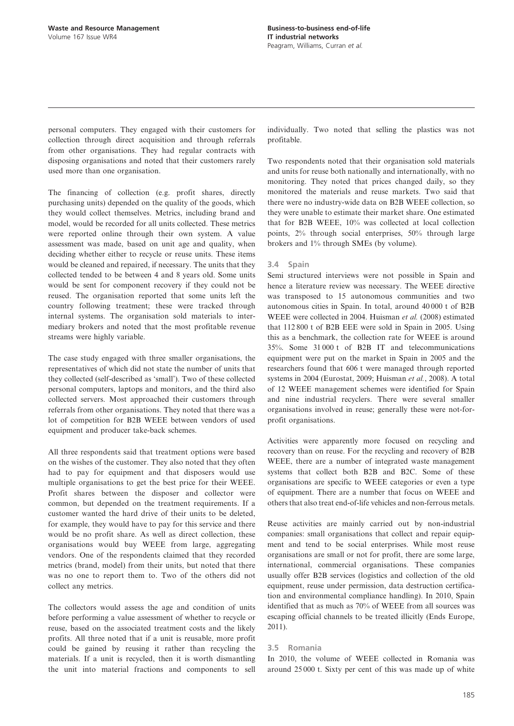personal computers. They engaged with their customers for collection through direct acquisition and through referrals from other organisations. They had regular contracts with disposing organisations and noted that their customers rarely used more than one organisation.

The financing of collection (e.g. profit shares, directly purchasing units) depended on the quality of the goods, which they would collect themselves. Metrics, including brand and model, would be recorded for all units collected. These metrics were reported online through their own system. A value assessment was made, based on unit age and quality, when deciding whether either to recycle or reuse units. These items would be cleaned and repaired, if necessary. The units that they collected tended to be between 4 and 8 years old. Some units would be sent for component recovery if they could not be reused. The organisation reported that some units left the country following treatment; these were tracked through internal systems. The organisation sold materials to intermediary brokers and noted that the most profitable revenue streams were highly variable.

The case study engaged with three smaller organisations, the representatives of which did not state the number of units that they collected (self-described as 'small'). Two of these collected personal computers, laptops and monitors, and the third also collected servers. Most approached their customers through referrals from other organisations. They noted that there was a lot of competition for B2B WEEE between vendors of used equipment and producer take-back schemes.

All three respondents said that treatment options were based on the wishes of the customer. They also noted that they often had to pay for equipment and that disposers would use multiple organisations to get the best price for their WEEE. Profit shares between the disposer and collector were common, but depended on the treatment requirements. If a customer wanted the hard drive of their units to be deleted, for example, they would have to pay for this service and there would be no profit share. As well as direct collection, these organisations would buy WEEE from large, aggregating vendors. One of the respondents claimed that they recorded metrics (brand, model) from their units, but noted that there was no one to report them to. Two of the others did not collect any metrics.

The collectors would assess the age and condition of units before performing a value assessment of whether to recycle or reuse, based on the associated treatment costs and the likely profits. All three noted that if a unit is reusable, more profit could be gained by reusing it rather than recycling the materials. If a unit is recycled, then it is worth dismantling the unit into material fractions and components to sell individually. Two noted that selling the plastics was not profitable.

Two respondents noted that their organisation sold materials and units for reuse both nationally and internationally, with no monitoring. They noted that prices changed daily, so they monitored the materials and reuse markets. Two said that there were no industry-wide data on B2B WEEE collection, so they were unable to estimate their market share. One estimated that for B2B WEEE, 10% was collected at local collection points, 2% through social enterprises, 50% through large brokers and 1% through SMEs (by volume).

# 3.4 Spain

Semi structured interviews were not possible in Spain and hence a literature review was necessary. The WEEE directive was transposed to 15 autonomous communities and two autonomous cities in Spain. In total, around 40 000 t of B2B WEEE were collected in 2004. [Huisman](#page-14-0) et al. (2008) estimated that 112 800 t of B2B EEE were sold in Spain in 2005. Using this as a benchmark, the collection rate for WEEE is around 35%. Some 31 000 t of B2B IT and telecommunications equipment were put on the market in Spain in 2005 and the researchers found that 606 t were managed through reported systems in 2004 ([Eurostat, 2009; Huisman](#page-14-0) et al., 2008). A total of 12 WEEE management schemes were identified for Spain and nine industrial recyclers. There were several smaller organisations involved in reuse; generally these were not-forprofit organisations.

Activities were apparently more focused on recycling and recovery than on reuse. For the recycling and recovery of B2B WEEE, there are a number of integrated waste management systems that collect both B2B and B2C. Some of these organisations are specific to WEEE categories or even a type of equipment. There are a number that focus on WEEE and others that also treat end-of-life vehicles and non-ferrous metals.

Reuse activities are mainly carried out by non-industrial companies: small organisations that collect and repair equipment and tend to be social enterprises. While most reuse organisations are small or not for profit, there are some large, international, commercial organisations. These companies usually offer B2B services (logistics and collection of the old equipment, reuse under permission, data destruction certification and environmental compliance handling). In 2010, Spain identified that as much as 70% of WEEE from all sources was escaping official channels to be treated illicitly ([Ends Europe,](#page-13-0) [2011\)](#page-13-0).

# 3.5 Romania

In 2010, the volume of WEEE collected in Romania was around 25 000 t. Sixty per cent of this was made up of white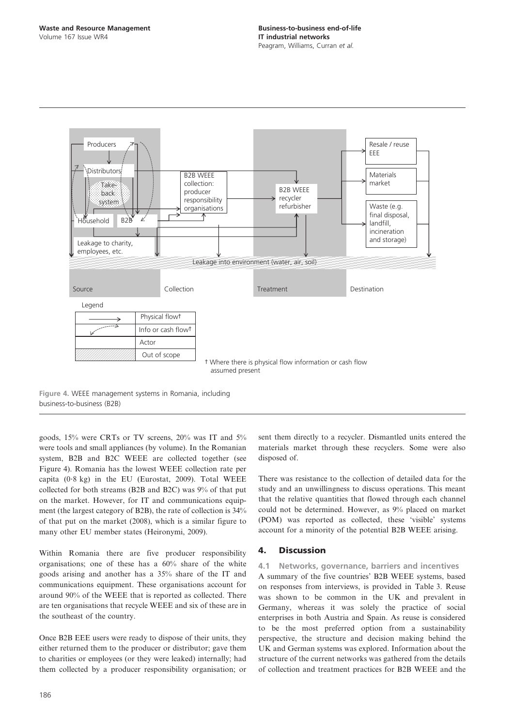

Figure 4. WEEE management systems in Romania, including business-to-business (B2B)

goods, 15% were CRTs or TV screens, 20% was IT and 5% were tools and small appliances (by volume). In the Romanian system, B2B and B2C WEEE are collected together (see Figure 4). Romania has the lowest WEEE collection rate per capita  $(0.8 \text{ kg})$  in the EU [\(Eurostat, 2009](#page-14-0)). Total WEEE collected for both streams (B2B and B2C) was 9% of that put on the market. However, for IT and communications equipment (the largest category of B2B), the rate of collection is 34% of that put on the market (2008), which is a similar figure to many other EU member states [\(Heironymi, 2009](#page-14-0)).

Within Romania there are five producer responsibility organisations; one of these has a 60% share of the white goods arising and another has a 35% share of the IT and communications equipment. These organisations account for around 90% of the WEEE that is reported as collected. There are ten organisations that recycle WEEE and six of these are in the southeast of the country.

Once B2B EEE users were ready to dispose of their units, they either returned them to the producer or distributor; gave them to charities or employees (or they were leaked) internally; had them collected by a producer responsibility organisation; or sent them directly to a recycler. Dismantled units entered the materials market through these recyclers. Some were also disposed of.

There was resistance to the collection of detailed data for the study and an unwillingness to discuss operations. This meant that the relative quantities that flowed through each channel could not be determined. However, as 9% placed on market (POM) was reported as collected, these 'visible' systems account for a minority of the potential B2B WEEE arising.

# 4. Discussion

# 4.1 Networks, governance, barriers and incentives

A summary of the five countries' B2B WEEE systems, based on responses from interviews, is provided in [Table 3.](#page-9-0) Reuse was shown to be common in the UK and prevalent in Germany, whereas it was solely the practice of social enterprises in both Austria and Spain. As reuse is considered to be the most preferred option from a sustainability perspective, the structure and decision making behind the UK and German systems was explored. Information about the structure of the current networks was gathered from the details of collection and treatment practices for B2B WEEE and the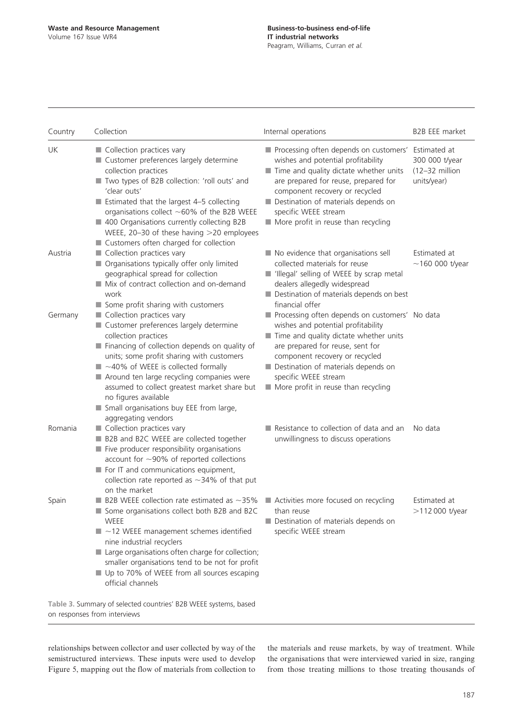<span id="page-9-0"></span>

| Country | Collection                                                                                                                                                                                                                                                                                                                                                                                                                                                                            | Internal operations                                                                                                                                                                                                                                                                                                 | B2B EEE market                                     |
|---------|---------------------------------------------------------------------------------------------------------------------------------------------------------------------------------------------------------------------------------------------------------------------------------------------------------------------------------------------------------------------------------------------------------------------------------------------------------------------------------------|---------------------------------------------------------------------------------------------------------------------------------------------------------------------------------------------------------------------------------------------------------------------------------------------------------------------|----------------------------------------------------|
| UK      | Collection practices vary<br>■ Customer preferences largely determine<br>collection practices<br>Two types of B2B collection: 'roll outs' and<br>'clear outs'<br>$\blacksquare$ Estimated that the largest 4-5 collecting<br>organisations collect $\sim$ 60% of the B2B WEEE<br>400 Organisations currently collecting B2B<br>WEEE, 20-30 of these having $>$ 20 employees<br>■ Customers often charged for collection                                                               | Processing often depends on customers' Estimated at<br>wishes and potential profitability<br>Time and quality dictate whether units<br>are prepared for reuse, prepared for<br>component recovery or recycled<br>Destination of materials depends on<br>specific WEEE stream<br>More profit in reuse than recycling | 300 000 t/year<br>$(12-32)$ million<br>units/year) |
| Austria | Collection practices vary<br>Organisations typically offer only limited<br>geographical spread for collection<br>■ Mix of contract collection and on-demand<br>work<br>Some profit sharing with customers                                                                                                                                                                                                                                                                             | No evidence that organisations sell<br>collected materials for reuse<br>I 'Illegal' selling of WEEE by scrap metal<br>dealers allegedly widespread<br>Destination of materials depends on best<br>financial offer                                                                                                   | Estimated at<br>$\sim$ 160 000 t/year              |
| Germany | Collection practices vary<br>Customer preferences largely determine<br>collection practices<br>Financing of collection depends on quality of<br>units; some profit sharing with customers<br>$\blacksquare$ ~40% of WEEE is collected formally<br>Around ten large recycling companies were<br>assumed to collect greatest market share but<br>no figures available<br>Small organisations buy EEE from large,<br>aggregating vendors                                                 | Processing often depends on customers' No data<br>wishes and potential profitability<br>Time and quality dictate whether units<br>are prepared for reuse, sent for<br>component recovery or recycled<br>Destination of materials depends on<br>specific WEEE stream<br>More profit in reuse than recycling          |                                                    |
| Romania | Collection practices vary<br>B2B and B2C WEEE are collected together<br>Five producer responsibility organisations<br>account for $\sim$ 90% of reported collections<br>For IT and communications equipment,<br>collection rate reported as $\sim$ 34% of that put<br>on the market                                                                                                                                                                                                   | Resistance to collection of data and an<br>unwillingness to discuss operations                                                                                                                                                                                                                                      | No data                                            |
| Spain   | ■ B2B WEEE collection rate estimated as ~35% ■ Activities more focused on recycling<br>Some organisations collect both B2B and B2C<br><b>WEEE</b><br>$\blacksquare$ ~12 WEEE management schemes identified<br>nine industrial recyclers<br>Large organisations often charge for collection;<br>smaller organisations tend to be not for profit<br>Up to 70% of WEEE from all sources escaping<br>official channels<br>Table 3. Summary of selected countries' B2B WEEE systems, based | than reuse<br>Destination of materials depends on<br>specific WEEE stream                                                                                                                                                                                                                                           | Estimated at<br>$>$ 112 000 t/year                 |

on responses from interviews

relationships between collector and user collected by way of the

the materials and reuse markets, by way of treatment. While the organisations that were interviewed varied in size, ranging from those treating millions to those treating thousands of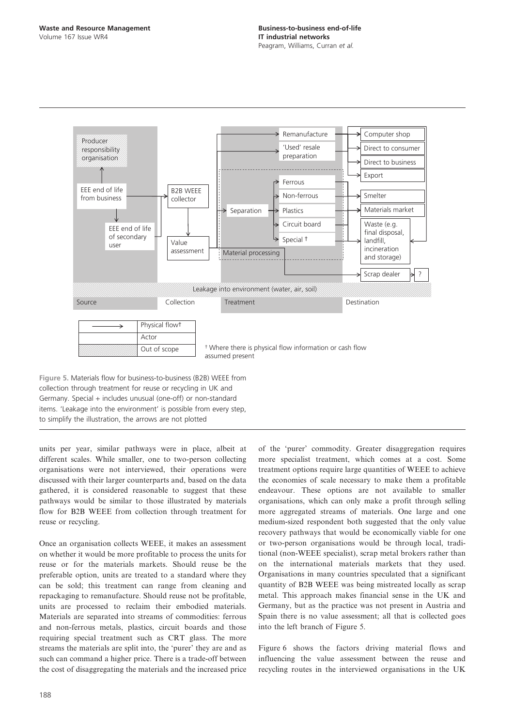<span id="page-10-0"></span>

Figure 5. Materials flow for business-to-business (B2B) WEEE from collection through treatment for reuse or recycling in UK and Germany. Special + includes unusual (one-off) or non-standard items. 'Leakage into the environment' is possible from every step, to simplify the illustration, the arrows are not plotted

units per year, similar pathways were in place, albeit at different scales. While smaller, one to two-person collecting organisations were not interviewed, their operations were discussed with their larger counterparts and, based on the data gathered, it is considered reasonable to suggest that these pathways would be similar to those illustrated by materials flow for B2B WEEE from collection through treatment for reuse or recycling.

Once an organisation collects WEEE, it makes an assessment on whether it would be more profitable to process the units for reuse or for the materials markets. Should reuse be the preferable option, units are treated to a standard where they can be sold; this treatment can range from cleaning and repackaging to remanufacture. Should reuse not be profitable, units are processed to reclaim their embodied materials. Materials are separated into streams of commodities: ferrous and non-ferrous metals, plastics, circuit boards and those requiring special treatment such as CRT glass. The more streams the materials are split into, the 'purer' they are and as such can command a higher price. There is a trade-off between the cost of disaggregating the materials and the increased price

of the 'purer' commodity. Greater disaggregation requires more specialist treatment, which comes at a cost. Some treatment options require large quantities of WEEE to achieve the economies of scale necessary to make them a profitable endeavour. These options are not available to smaller organisations, which can only make a profit through selling more aggregated streams of materials. One large and one medium-sized respondent both suggested that the only value recovery pathways that would be economically viable for one or two-person organisations would be through local, traditional (non-WEEE specialist), scrap metal brokers rather than on the international materials markets that they used. Organisations in many countries speculated that a significant quantity of B2B WEEE was being mistreated locally as scrap metal. This approach makes financial sense in the UK and Germany, but as the practice was not present in Austria and Spain there is no value assessment; all that is collected goes into the left branch of Figure 5.

[Figure 6](#page-11-0) shows the factors driving material flows and influencing the value assessment between the reuse and recycling routes in the interviewed organisations in the UK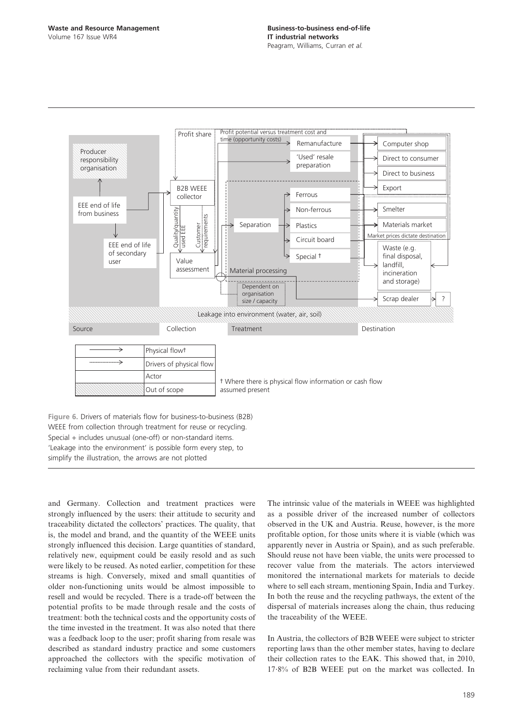<span id="page-11-0"></span>

WEEE from collection through treatment for reuse or recycling. Special + includes unusual (one-off) or non-standard items. 'Leakage into the environment' is possible form every step, to simplify the illustration, the arrows are not plotted

and Germany. Collection and treatment practices were strongly influenced by the users: their attitude to security and traceability dictated the collectors' practices. The quality, that is, the model and brand, and the quantity of the WEEE units strongly influenced this decision. Large quantities of standard, relatively new, equipment could be easily resold and as such were likely to be reused. As noted earlier, competition for these streams is high. Conversely, mixed and small quantities of older non-functioning units would be almost impossible to resell and would be recycled. There is a trade-off between the potential profits to be made through resale and the costs of treatment: both the technical costs and the opportunity costs of the time invested in the treatment. It was also noted that there was a feedback loop to the user; profit sharing from resale was described as standard industry practice and some customers approached the collectors with the specific motivation of reclaiming value from their redundant assets.

The intrinsic value of the materials in WEEE was highlighted as a possible driver of the increased number of collectors observed in the UK and Austria. Reuse, however, is the more profitable option, for those units where it is viable (which was apparently never in Austria or Spain), and as such preferable. Should reuse not have been viable, the units were processed to recover value from the materials. The actors interviewed monitored the international markets for materials to decide where to sell each stream, mentioning Spain, India and Turkey. In both the reuse and the recycling pathways, the extent of the dispersal of materials increases along the chain, thus reducing the traceability of the WEEE.

In Austria, the collectors of B2B WEEE were subject to stricter reporting laws than the other member states, having to declare their collection rates to the EAK. This showed that, in 2010, 17?8% of B2B WEEE put on the market was collected. In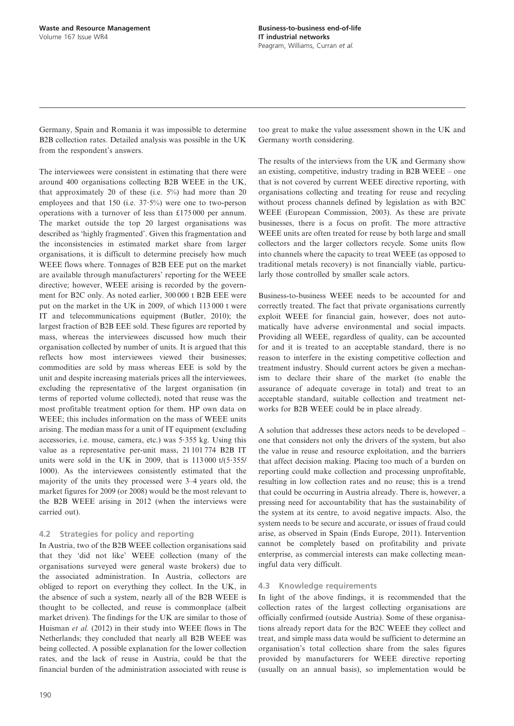Germany, Spain and Romania it was impossible to determine B2B collection rates. Detailed analysis was possible in the UK from the respondent's answers.

The interviewees were consistent in estimating that there were around 400 organisations collecting B2B WEEE in the UK, that approximately 20 of these (i.e. 5%) had more than 20 employees and that 150 (i.e. 37.5%) were one to two-person operations with a turnover of less than £175 000 per annum. The market outside the top 20 largest organisations was described as 'highly fragmented'. Given this fragmentation and the inconsistencies in estimated market share from larger organisations, it is difficult to determine precisely how much WEEE flows where. Tonnages of B2B EEE put on the market are available through manufacturers' reporting for the WEEE directive; however, WEEE arising is recorded by the government for B2C only. As noted earlier, 300 000 t B2B EEE were put on the market in the UK in 2009, of which 113 000 t were IT and telecommunications equipment [\(Butler, 2010](#page-13-0)); the largest fraction of B2B EEE sold. These figures are reported by mass, whereas the interviewees discussed how much their organisation collected by number of units. It is argued that this reflects how most interviewees viewed their businesses; commodities are sold by mass whereas EEE is sold by the unit and despite increasing materials prices all the interviewees, excluding the representative of the largest organisation (in terms of reported volume collected), noted that reuse was the most profitable treatment option for them. HP own data on WEEE; this includes information on the mass of WEEE units arising. The median mass for a unit of IT equipment (excluding accessories, i.e. mouse, camera, etc.) was 5?355 kg. Using this value as a representative per-unit mass, 21 101 774 B2B IT units were sold in the UK in 2009, that is  $113\,000$  t/ $(5.355/$ 1000). As the interviewees consistently estimated that the majority of the units they processed were 3–4 years old, the market figures for 2009 (or 2008) would be the most relevant to the B2B WEEE arising in 2012 (when the interviews were carried out).

# 4.2 Strategies for policy and reporting

In Austria, two of the B2B WEEE collection organisations said that they 'did not like' WEEE collection (many of the organisations surveyed were general waste brokers) due to the associated administration. In Austria, collectors are obliged to report on everything they collect. In the UK, in the absence of such a system, nearly all of the B2B WEEE is thought to be collected, and reuse is commonplace (albeit market driven). The findings for the UK are similar to those of [Huisman](#page-14-0) et al. (2012) in their study into WEEE flows in The Netherlands; they concluded that nearly all B2B WEEE was being collected. A possible explanation for the lower collection rates, and the lack of reuse in Austria, could be that the financial burden of the administration associated with reuse is

The results of the interviews from the UK and Germany show an existing, competitive, industry trading in B2B WEEE – one that is not covered by current WEEE directive reporting, with organisations collecting and treating for reuse and recycling without process channels defined by legislation as with B2C WEEE ([European Commission, 2003](#page-14-0)). As these are private businesses, there is a focus on profit. The more attractive WEEE units are often treated for reuse by both large and small collectors and the larger collectors recycle. Some units flow into channels where the capacity to treat WEEE (as opposed to traditional metals recovery) is not financially viable, particularly those controlled by smaller scale actors.

Business-to-business WEEE needs to be accounted for and correctly treated. The fact that private organisations currently exploit WEEE for financial gain, however, does not automatically have adverse environmental and social impacts. Providing all WEEE, regardless of quality, can be accounted for and it is treated to an acceptable standard, there is no reason to interfere in the existing competitive collection and treatment industry. Should current actors be given a mechanism to declare their share of the market (to enable the assurance of adequate coverage in total) and treat to an acceptable standard, suitable collection and treatment networks for B2B WEEE could be in place already.

A solution that addresses these actors needs to be developed – one that considers not only the drivers of the system, but also the value in reuse and resource exploitation, and the barriers that affect decision making. Placing too much of a burden on reporting could make collection and processing unprofitable, resulting in low collection rates and no reuse; this is a trend that could be occurring in Austria already. There is, however, a pressing need for accountability that has the sustainability of the system at its centre, to avoid negative impacts. Also, the system needs to be secure and accurate, or issues of fraud could arise, as observed in Spain [\(Ends Europe, 2011](#page-13-0)). Intervention cannot be completely based on profitability and private enterprise, as commercial interests can make collecting meaningful data very difficult.

# 4.3 Knowledge requirements

In light of the above findings, it is recommended that the collection rates of the largest collecting organisations are officially confirmed (outside Austria). Some of these organisations already report data for the B2C WEEE they collect and treat, and simple mass data would be sufficient to determine an organisation's total collection share from the sales figures provided by manufacturers for WEEE directive reporting (usually on an annual basis), so implementation would be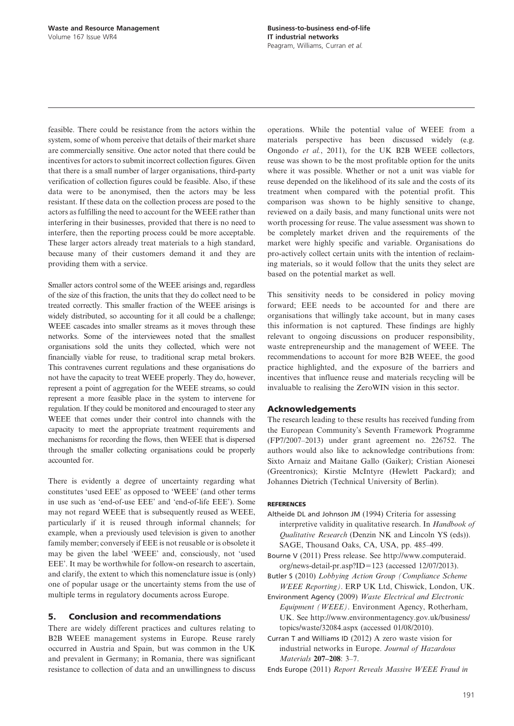<span id="page-13-0"></span>feasible. There could be resistance from the actors within the system, some of whom perceive that details of their market share are commercially sensitive. One actor noted that there could be incentives for actors to submit incorrect collection figures. Given that there is a small number of larger organisations, third-party verification of collection figures could be feasible. Also, if these data were to be anonymised, then the actors may be less resistant. If these data on the collection process are posed to the actors as fulfilling the need to account for the WEEE rather than interfering in their businesses, provided that there is no need to interfere, then the reporting process could be more acceptable. These larger actors already treat materials to a high standard, because many of their customers demand it and they are providing them with a service.

Smaller actors control some of the WEEE arisings and, regardless of the size of this fraction, the units that they do collect need to be treated correctly. This smaller fraction of the WEEE arisings is widely distributed, so accounting for it all could be a challenge; WEEE cascades into smaller streams as it moves through these networks. Some of the interviewees noted that the smallest organisations sold the units they collected, which were not financially viable for reuse, to traditional scrap metal brokers. This contravenes current regulations and these organisations do not have the capacity to treat WEEE properly. They do, however, represent a point of aggregation for the WEEE streams, so could represent a more feasible place in the system to intervene for regulation. If they could be monitored and encouraged to steer any WEEE that comes under their control into channels with the capacity to meet the appropriate treatment requirements and mechanisms for recording the flows, then WEEE that is dispersed through the smaller collecting organisations could be properly accounted for.

There is evidently a degree of uncertainty regarding what constitutes 'used EEE' as opposed to 'WEEE' (and other terms in use such as 'end-of-use EEE' and 'end-of-life EEE'). Some may not regard WEEE that is subsequently reused as WEEE, particularly if it is reused through informal channels; for example, when a previously used television is given to another family member; conversely if EEE is not reusable or is obsolete it may be given the label 'WEEE' and, consciously, not 'used EEE'. It may be worthwhile for follow-on research to ascertain, and clarify, the extent to which this nomenclature issue is (only) one of popular usage or the uncertainty stems from the use of multiple terms in regulatory documents across Europe.

# 5. Conclusion and recommendations

There are widely different practices and cultures relating to B2B WEEE management systems in Europe. Reuse rarely occurred in Austria and Spain, but was common in the UK and prevalent in Germany; in Romania, there was significant resistance to collection of data and an unwillingness to discuss operations. While the potential value of WEEE from a materials perspective has been discussed widely (e.g. [Ongondo](#page-14-0) et al., 2011), for the UK B2B WEEE collectors, reuse was shown to be the most profitable option for the units where it was possible. Whether or not a unit was viable for reuse depended on the likelihood of its sale and the costs of its treatment when compared with the potential profit. This comparison was shown to be highly sensitive to change, reviewed on a daily basis, and many functional units were not worth processing for reuse. The value assessment was shown to be completely market driven and the requirements of the market were highly specific and variable. Organisations do pro-actively collect certain units with the intention of reclaiming materials, so it would follow that the units they select are based on the potential market as well.

This sensitivity needs to be considered in policy moving forward; EEE needs to be accounted for and there are organisations that willingly take account, but in many cases this information is not captured. These findings are highly relevant to ongoing discussions on producer responsibility, waste entrepreneurship and the management of WEEE. The recommendations to account for more B2B WEEE, the good practice highlighted, and the exposure of the barriers and incentives that influence reuse and materials recycling will be invaluable to realising the ZeroWIN vision in this sector.

# Acknowledgements

The research leading to these results has received funding from the European Community's Seventh Framework Programme (FP7/2007–2013) under grant agreement no. 226752. The authors would also like to acknowledge contributions from: Sixto Arnaiz and Maitane Gallo (Gaiker); Cristian Aionesei (Greentronics); Kirstie McIntyre (Hewlett Packard); and Johannes Dietrich (Technical University of Berlin).

## **REFERENCES**

- Altheide DL and Johnson JM (1994) Criteria for assessing interpretive validity in qualitative research. In Handbook of Qualitative Research (Denzin NK and Lincoln YS (eds)). SAGE, Thousand Oaks, CA, USA, pp. 485–499.
- Bourne V (2011) Press release. See [http://www.computeraid.](http://www.computeraid.org/news-detail-pr.asp?ID=123) [org/news-detail-pr.asp?ID](http://www.computeraid.org/news-detail-pr.asp?ID=123)=123 (accessed 12/07/2013).
- Butler S (2010) Lobbying Action Group (Compliance Scheme WEEE Reporting). ERP UK Ltd, Chiswick, London, UK.
- Environment Agency (2009) Waste Electrical and Electronic Equipment (WEEE). Environment Agency, Rotherham, UK. See [http://www.environmentagency.gov.uk/business/](http://www.environmentagency.gov.uk/business/topics/waste/32084.aspx) [topics/waste/32084.aspx](http://www.environmentagency.gov.uk/business/topics/waste/32084.aspx) (accessed 01/08/2010).
- Curran T and Williams ID (2012) A zero waste vision for industrial networks in Europe. Journal of Hazardous Materials 207–208: 3–7.
- Ends Europe (2011) Report Reveals Massive WEEE Fraud in